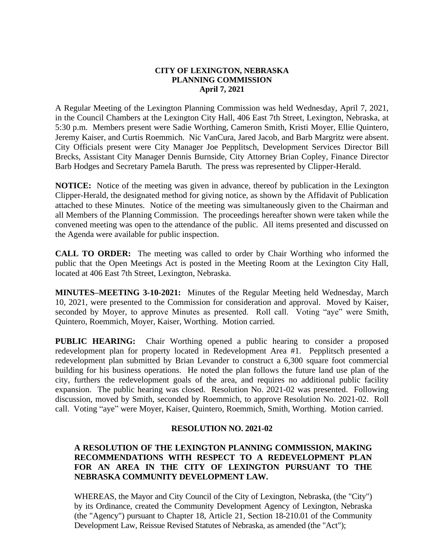## **CITY OF LEXINGTON, NEBRASKA PLANNING COMMISSION April 7, 2021**

A Regular Meeting of the Lexington Planning Commission was held Wednesday, April 7, 2021, in the Council Chambers at the Lexington City Hall, 406 East 7th Street, Lexington, Nebraska, at 5:30 p.m. Members present were Sadie Worthing, Cameron Smith, Kristi Moyer, Ellie Quintero, Jeremy Kaiser, and Curtis Roemmich. Nic VanCura, Jared Jacob, and Barb Margritz were absent. City Officials present were City Manager Joe Pepplitsch, Development Services Director Bill Brecks, Assistant City Manager Dennis Burnside, City Attorney Brian Copley, Finance Director Barb Hodges and Secretary Pamela Baruth. The press was represented by Clipper-Herald.

**NOTICE:** Notice of the meeting was given in advance, thereof by publication in the Lexington Clipper-Herald, the designated method for giving notice, as shown by the Affidavit of Publication attached to these Minutes. Notice of the meeting was simultaneously given to the Chairman and all Members of the Planning Commission. The proceedings hereafter shown were taken while the convened meeting was open to the attendance of the public. All items presented and discussed on the Agenda were available for public inspection.

**CALL TO ORDER:** The meeting was called to order by Chair Worthing who informed the public that the Open Meetings Act is posted in the Meeting Room at the Lexington City Hall, located at 406 East 7th Street, Lexington, Nebraska.

**MINUTES–MEETING 3-10-2021:** Minutes of the Regular Meeting held Wednesday, March 10, 2021, were presented to the Commission for consideration and approval. Moved by Kaiser, seconded by Moyer, to approve Minutes as presented. Roll call. Voting "aye" were Smith, Quintero, Roemmich, Moyer, Kaiser, Worthing. Motion carried.

**PUBLIC HEARING:** Chair Worthing opened a public hearing to consider a proposed redevelopment plan for property located in Redevelopment Area #1. Pepplitsch presented a redevelopment plan submitted by Brian Levander to construct a 6,300 square foot commercial building for his business operations. He noted the plan follows the future land use plan of the city, furthers the redevelopment goals of the area, and requires no additional public facility expansion. The public hearing was closed. Resolution No. 2021-02 was presented. Following discussion, moved by Smith, seconded by Roemmich, to approve Resolution No. 2021-02. Roll call. Voting "aye" were Moyer, Kaiser, Quintero, Roemmich, Smith, Worthing. Motion carried.

## **RESOLUTION NO. 2021-02**

## **A RESOLUTION OF THE LEXINGTON PLANNING COMMISSION, MAKING RECOMMENDATIONS WITH RESPECT TO A REDEVELOPMENT PLAN FOR AN AREA IN THE CITY OF LEXINGTON PURSUANT TO THE NEBRASKA COMMUNITY DEVELOPMENT LAW.**

WHEREAS, the Mayor and City Council of the City of Lexington, Nebraska, (the "City") by its Ordinance, created the Community Development Agency of Lexington, Nebraska (the "Agency") pursuant to Chapter 18, Article 21, Section 18-210.01 of the Community Development Law, Reissue Revised Statutes of Nebraska, as amended (the "Act");